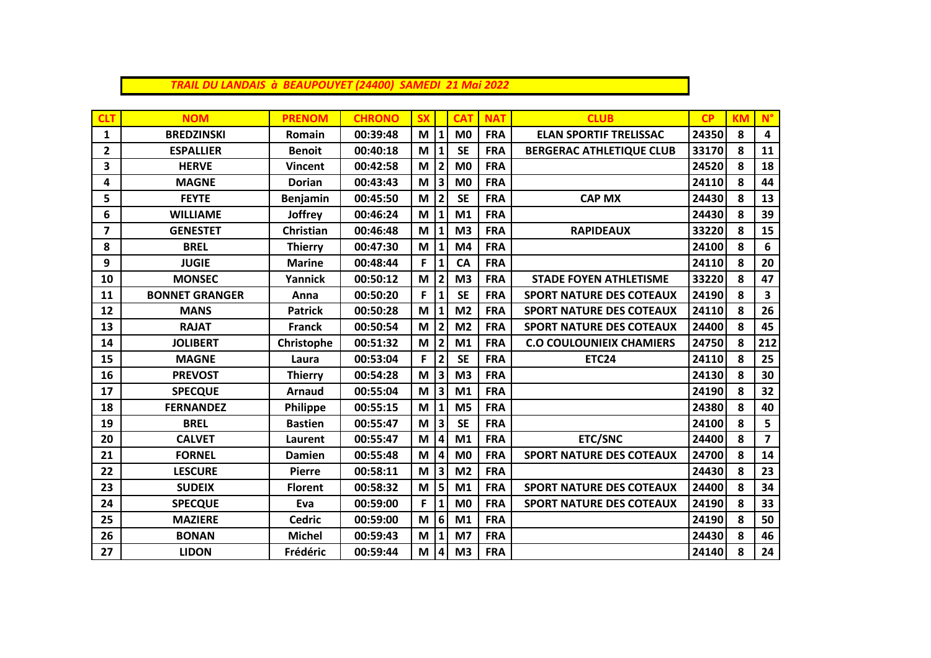| TRAIL DU LANDAIS à BEAUPOUYET (24400) SAMEDI 21 Mai 2022 |  |  |  |
|----------------------------------------------------------|--|--|--|
|----------------------------------------------------------|--|--|--|

| <b>CLT</b>     | <b>NOM</b>            | <b>PRENOM</b>   | <b>CHRONO</b> | <b>SX</b> |                         | <b>CAT</b>     | <b>NAT</b> | <b>CLUB</b>                     | CP    | <b>KM</b> | $N^{\circ}$ |
|----------------|-----------------------|-----------------|---------------|-----------|-------------------------|----------------|------------|---------------------------------|-------|-----------|-------------|
| $\mathbf{1}$   | <b>BREDZINSKI</b>     | <b>Romain</b>   | 00:39:48      | M         | $1\vert$                | M <sub>0</sub> | <b>FRA</b> | <b>ELAN SPORTIF TRELISSAC</b>   | 24350 | 8         | 4           |
| $\mathbf{2}$   | <b>ESPALLIER</b>      | <b>Benoit</b>   | 00:40:18      | M         | $\mathbf{1}$            | <b>SE</b>      | <b>FRA</b> | <b>BERGERAC ATHLETIQUE CLUB</b> | 33170 | 8         | 11          |
| 3              | <b>HERVE</b>          | <b>Vincent</b>  | 00:42:58      | M         | $\mathbf{2}$            | M <sub>0</sub> | <b>FRA</b> |                                 | 24520 | 8         | 18          |
| 4              | <b>MAGNE</b>          | <b>Dorian</b>   | 00:43:43      | M         | 3                       | M <sub>0</sub> | <b>FRA</b> |                                 | 24110 | 8         | 44          |
| 5              | <b>FEYTE</b>          | <b>Benjamin</b> | 00:45:50      | M         | $\overline{\mathbf{2}}$ | <b>SE</b>      | <b>FRA</b> | <b>CAP MX</b>                   | 24430 | 8         | 13          |
| 6              | <b>WILLIAME</b>       | <b>Joffrey</b>  | 00:46:24      | M         | 1                       | M <sub>1</sub> | <b>FRA</b> |                                 | 24430 | 8         | 39          |
| $\overline{7}$ | <b>GENESTET</b>       | Christian       | 00:46:48      | M         |                         | M <sub>3</sub> | <b>FRA</b> | <b>RAPIDEAUX</b>                | 33220 | 8         | 15          |
| 8              | <b>BREL</b>           | <b>Thierry</b>  | 00:47:30      | M         | $\mathbf{1}$            | M <sub>4</sub> | <b>FRA</b> |                                 | 24100 | 8         | 6           |
| 9              | <b>JUGIE</b>          | <b>Marine</b>   | 00:48:44      | F         | 1                       | CA             | <b>FRA</b> |                                 | 24110 | 8         | 20          |
| 10             | <b>MONSEC</b>         | Yannick         | 00:50:12      | M         | $\overline{2}$          | M <sub>3</sub> | <b>FRA</b> | <b>STADE FOYEN ATHLETISME</b>   | 33220 | 8         | 47          |
| 11             | <b>BONNET GRANGER</b> | Anna            | 00:50:20      | F         | $\mathbf{1}$            | <b>SE</b>      | <b>FRA</b> | <b>SPORT NATURE DES COTEAUX</b> | 24190 | 8         | 3           |
| 12             | <b>MANS</b>           | <b>Patrick</b>  | 00:50:28      | M         | 1                       | M <sub>2</sub> | <b>FRA</b> | <b>SPORT NATURE DES COTEAUX</b> | 24110 | 8         | 26          |
| 13             | <b>RAJAT</b>          | <b>Franck</b>   | 00:50:54      | M         | 2                       | M <sub>2</sub> | <b>FRA</b> | <b>SPORT NATURE DES COTEAUX</b> | 24400 | 8         | 45          |
| 14             | <b>JOLIBERT</b>       | Christophe      | 00:51:32      | M         | $\overline{2}$          | M1             | <b>FRA</b> | <b>C.O COULOUNIEIX CHAMIERS</b> | 24750 | 8         | 212         |
| 15             | <b>MAGNE</b>          | Laura           | 00:53:04      | F         | $\overline{2}$          | <b>SE</b>      | <b>FRA</b> | <b>ETC24</b>                    | 24110 | 8         | 25          |
| 16             | <b>PREVOST</b>        | <b>Thierry</b>  | 00:54:28      | M         | 3                       | M <sub>3</sub> | <b>FRA</b> |                                 | 24130 | 8         | 30          |
| 17             | <b>SPECQUE</b>        | <b>Arnaud</b>   | 00:55:04      | M         | 3 <sup>1</sup>          | M1             | <b>FRA</b> |                                 | 24190 | 8         | 32          |
| 18             | <b>FERNANDEZ</b>      | Philippe        | 00:55:15      | M         | $\mathbf{1}$            | M <sub>5</sub> | <b>FRA</b> |                                 | 24380 | 8         | 40          |
| 19             | <b>BREL</b>           | <b>Bastien</b>  | 00:55:47      | M         | 3 <sup>1</sup>          | <b>SE</b>      | <b>FRA</b> |                                 | 24100 | 8         | 5           |
| 20             | <b>CALVET</b>         | Laurent         | 00:55:47      | M         | $\vert 4 \vert$         | M1             | <b>FRA</b> | <b>ETC/SNC</b>                  | 24400 | 8         | 7           |
| 21             | <b>FORNEL</b>         | <b>Damien</b>   | 00:55:48      | M         | $\vert 4 \vert$         | M <sub>0</sub> | <b>FRA</b> | <b>SPORT NATURE DES COTEAUX</b> | 24700 | 8         | 14          |
| 22             | <b>LESCURE</b>        | <b>Pierre</b>   | 00:58:11      | M         | 3                       | M <sub>2</sub> | <b>FRA</b> |                                 | 24430 | 8         | 23          |
| 23             | <b>SUDEIX</b>         | <b>Florent</b>  | 00:58:32      | M         | 5 <sup>1</sup>          | M1             | <b>FRA</b> | <b>SPORT NATURE DES COTEAUX</b> | 24400 | 8         | 34          |
| 24             | <b>SPECQUE</b>        | Eva             | 00:59:00      | F         | 1                       | M <sub>0</sub> | <b>FRA</b> | <b>SPORT NATURE DES COTEAUX</b> | 24190 | 8         | 33          |
| 25             | <b>MAZIERE</b>        | <b>Cedric</b>   | 00:59:00      | M         | 6                       | M1             | <b>FRA</b> |                                 | 24190 | 8         | 50          |
| 26             | <b>BONAN</b>          | <b>Michel</b>   | 00:59:43      | M         | 1                       | M <sub>7</sub> | <b>FRA</b> |                                 | 24430 | 8         | 46          |
| 27             | <b>LIDON</b>          | Frédéric        | 00:59:44      | M         | 4                       | M <sub>3</sub> | <b>FRA</b> |                                 | 24140 | 8         | 24          |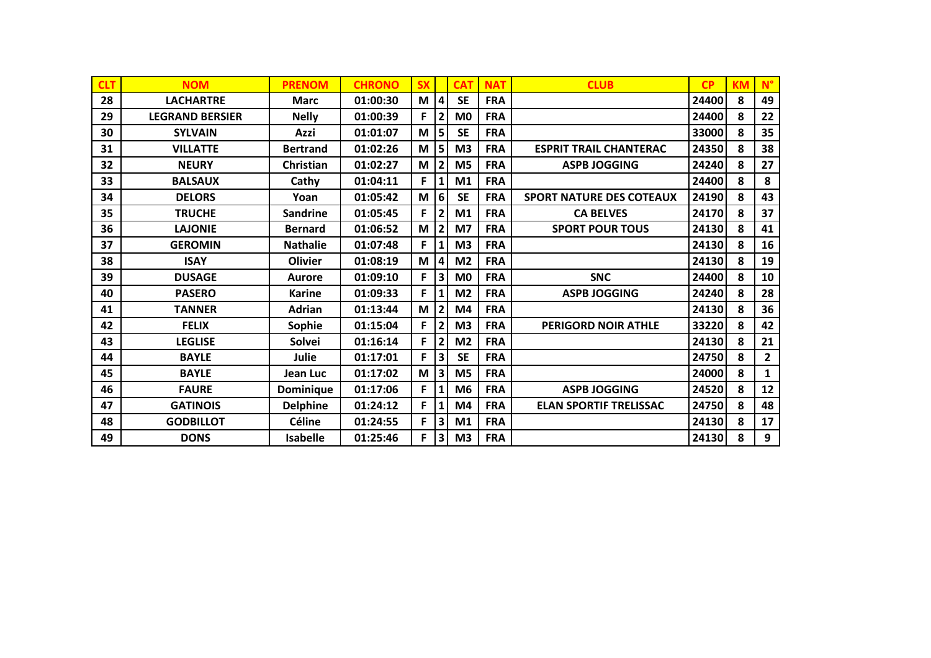| <b>CLT</b> | <b>NOM</b>             | <b>PRENOM</b>    | <b>CHRONO</b> | <b>SX</b> |                | <b>CAT</b>     | <b>NAT</b> | <b>CLUB</b>                     | CP    | <b>KM</b> | $N^{\circ}$    |
|------------|------------------------|------------------|---------------|-----------|----------------|----------------|------------|---------------------------------|-------|-----------|----------------|
| 28         | <b>LACHARTRE</b>       | <b>Marc</b>      | 01:00:30      | M         | 4              | <b>SE</b>      | <b>FRA</b> |                                 | 24400 | 8         | 49             |
| 29         | <b>LEGRAND BERSIER</b> | <b>Nelly</b>     | 01:00:39      | F.        | $\mathbf{2}$   | M <sub>0</sub> | <b>FRA</b> |                                 | 24400 | 8         | 22             |
| 30         | <b>SYLVAIN</b>         | Azzi             | 01:01:07      | M         | 5              | <b>SE</b>      | <b>FRA</b> |                                 | 33000 | 8         | 35             |
| 31         | <b>VILLATTE</b>        | <b>Bertrand</b>  | 01:02:26      | M         | 5 <sup>1</sup> | M <sub>3</sub> | <b>FRA</b> | <b>ESPRIT TRAIL CHANTERAC</b>   | 24350 | 8         | 38             |
| 32         | <b>NEURY</b>           | Christian        | 01:02:27      | M         | 2              | M <sub>5</sub> | <b>FRA</b> | <b>ASPB JOGGING</b>             | 24240 | 8         | 27             |
| 33         | <b>BALSAUX</b>         | Cathy            | 01:04:11      | F         | 1              | M1             | <b>FRA</b> |                                 | 24400 | 8         | 8              |
| 34         | <b>DELORS</b>          | Yoan             | 01:05:42      | M         | 6              | <b>SE</b>      | <b>FRA</b> | <b>SPORT NATURE DES COTEAUX</b> | 24190 | 8         | 43             |
| 35         | <b>TRUCHE</b>          | <b>Sandrine</b>  | 01:05:45      | F         | 2              | M1             | <b>FRA</b> | <b>CA BELVES</b>                | 24170 | 8         | 37             |
| 36         | <b>LAJONIE</b>         | <b>Bernard</b>   | 01:06:52      | М         | $\overline{2}$ | M7             | <b>FRA</b> | <b>SPORT POUR TOUS</b>          | 24130 | 8         | 41             |
| 37         | <b>GEROMIN</b>         | <b>Nathalie</b>  | 01:07:48      | F.        | 1              | M <sub>3</sub> | <b>FRA</b> |                                 | 24130 | 8         | 16             |
| 38         | <b>ISAY</b>            | <b>Olivier</b>   | 01:08:19      | M         | 4              | M <sub>2</sub> | <b>FRA</b> |                                 | 24130 | 8         | 19             |
| 39         | <b>DUSAGE</b>          | <b>Aurore</b>    | 01:09:10      | F.        | 3              | M <sub>0</sub> | <b>FRA</b> | <b>SNC</b>                      | 24400 | 8         | 10             |
| 40         | <b>PASERO</b>          | <b>Karine</b>    | 01:09:33      | F         | 1              | M <sub>2</sub> | <b>FRA</b> | <b>ASPB JOGGING</b>             | 24240 | 8         | 28             |
| 41         | <b>TANNER</b>          | <b>Adrian</b>    | 01:13:44      | M         | 2              | M4             | <b>FRA</b> |                                 | 24130 | 8         | 36             |
| 42         | <b>FELIX</b>           | Sophie           | 01:15:04      | F         | 2              | M <sub>3</sub> | <b>FRA</b> | <b>PERIGORD NOIR ATHLE</b>      | 33220 | 8         | 42             |
| 43         | <b>LEGLISE</b>         | Solvei           | 01:16:14      | F         | 2              | M <sub>2</sub> | <b>FRA</b> |                                 | 24130 | 8         | 21             |
| 44         | <b>BAYLE</b>           | Julie            | 01:17:01      | F.        | 3 <sup>1</sup> | <b>SE</b>      | <b>FRA</b> |                                 | 24750 | 8         | $\overline{2}$ |
| 45         | <b>BAYLE</b>           | Jean Luc         | 01:17:02      | M         | 3 <sup>1</sup> | M <sub>5</sub> | <b>FRA</b> |                                 | 24000 | 8         | $\mathbf{1}$   |
| 46         | <b>FAURE</b>           | <b>Dominique</b> | 01:17:06      | F.        | 1              | M <sub>6</sub> | <b>FRA</b> | <b>ASPB JOGGING</b>             | 24520 | 8         | 12             |
| 47         | <b>GATINOIS</b>        | <b>Delphine</b>  | 01:24:12      | F.        | 1              | M <sub>4</sub> | <b>FRA</b> | <b>ELAN SPORTIF TRELISSAC</b>   | 24750 | 8         | 48             |
| 48         | <b>GODBILLOT</b>       | <b>Céline</b>    | 01:24:55      | F         | 3              | M1             | <b>FRA</b> |                                 | 24130 | 8         | 17             |
| 49         | <b>DONS</b>            | <b>Isabelle</b>  | 01:25:46      | F         | 3              | M <sub>3</sub> | <b>FRA</b> |                                 | 24130 | 8         | 9              |